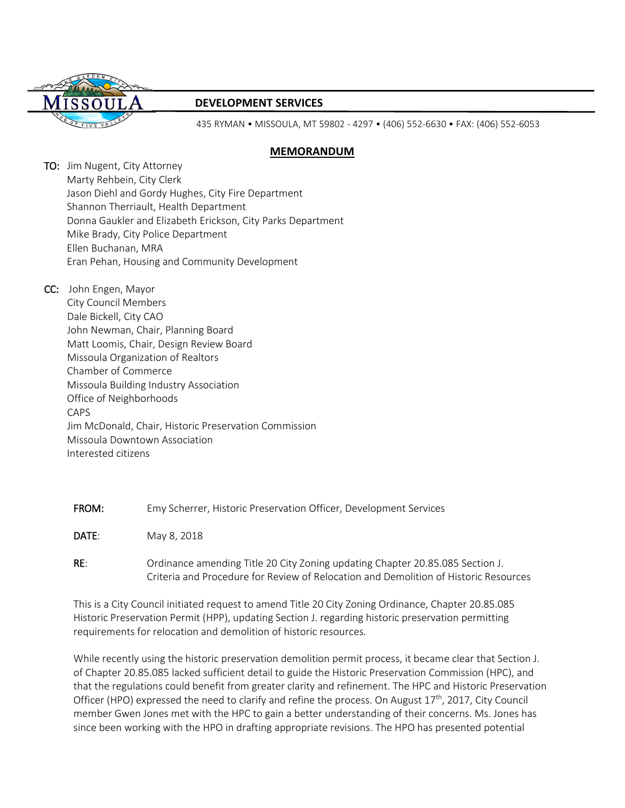

# **DEVELOPMENT SERVICES**

435 RYMAN • MISSOULA, MT 59802 - 4297 • (406) 552-6630 • FAX: (406) 552-6053

# **MEMORANDUM**

TO: Jim Nugent, City Attorney Marty Rehbein, City Clerk Jason Diehl and Gordy Hughes, City Fire Department Shannon Therriault, Health Department Donna Gaukler and Elizabeth Erickson, City Parks Department Mike Brady, City Police Department Ellen Buchanan, MRA Eran Pehan, Housing and Community Development

CC: John Engen, Mayor City Council Members Dale Bickell, City CAO John Newman, Chair, Planning Board Matt Loomis, Chair, Design Review Board Missoula Organization of Realtors Chamber of Commerce Missoula Building Industry Association Office of Neighborhoods CAPS Jim McDonald, Chair, Historic Preservation Commission Missoula Downtown Association Interested citizens

FROM: Emy Scherrer, Historic Preservation Officer, Development Services

DATE: May 8, 2018

RE: Ordinance amending Title 20 City Zoning updating Chapter 20.85.085 Section J. Criteria and Procedure for Review of Relocation and Demolition of Historic Resources

This is a City Council initiated request to amend Title 20 City Zoning Ordinance, Chapter 20.85.085 Historic Preservation Permit (HPP), updating Section J. regarding historic preservation permitting requirements for relocation and demolition of historic resources.

While recently using the historic preservation demolition permit process, it became clear that Section J. of Chapter 20.85.085 lacked sufficient detail to guide the Historic Preservation Commission (HPC), and that the regulations could benefit from greater clarity and refinement. The HPC and Historic Preservation Officer (HPO) expressed the need to clarify and refine the process. On August 17<sup>th</sup>, 2017, City Council member Gwen Jones met with the HPC to gain a better understanding of their concerns. Ms. Jones has since been working with the HPO in drafting appropriate revisions. The HPO has presented potential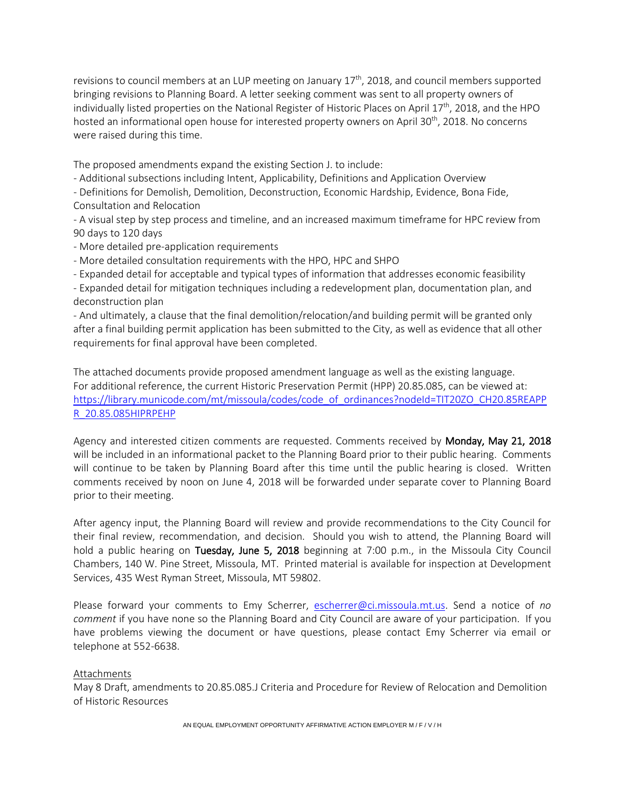revisions to council members at an LUP meeting on January  $17<sup>th</sup>$ , 2018, and council members supported bringing revisions to Planning Board. A letter seeking comment was sent to all property owners of individually listed properties on the National Register of Historic Places on April 17<sup>th</sup>, 2018, and the HPO hosted an informational open house for interested property owners on April 30<sup>th</sup>, 2018. No concerns were raised during this time.

The proposed amendments expand the existing Section J. to include:

- Additional subsections including Intent, Applicability, Definitions and Application Overview

- Definitions for Demolish, Demolition, Deconstruction, Economic Hardship, Evidence, Bona Fide, Consultation and Relocation

- A visual step by step process and timeline, and an increased maximum timeframe for HPC review from 90 days to 120 days

- More detailed pre-application requirements
- More detailed consultation requirements with the HPO, HPC and SHPO

- Expanded detail for acceptable and typical types of information that addresses economic feasibility

- Expanded detail for mitigation techniques including a redevelopment plan, documentation plan, and deconstruction plan

- And ultimately, a clause that the final demolition/relocation/and building permit will be granted only after a final building permit application has been submitted to the City, as well as evidence that all other requirements for final approval have been completed.

The attached documents provide proposed amendment language as well as the existing language. For additional reference, the current Historic Preservation Permit (HPP) 20.85.085, can be viewed at: [https://library.municode.com/mt/missoula/codes/code\\_of\\_ordinances?nodeId=TIT20ZO\\_CH20.85REAPP](https://library.municode.com/mt/missoula/codes/code_of_ordinances?nodeId=TIT20ZO_CH20.85REAPPR_20.85.085HIPRPEHP) [R\\_20.85.085HIPRPEHP](https://library.municode.com/mt/missoula/codes/code_of_ordinances?nodeId=TIT20ZO_CH20.85REAPPR_20.85.085HIPRPEHP)

Agency and interested citizen comments are requested. Comments received by Monday, May 21, 2018 will be included in an informational packet to the Planning Board prior to their public hearing. Comments will continue to be taken by Planning Board after this time until the public hearing is closed. Written comments received by noon on June 4, 2018 will be forwarded under separate cover to Planning Board prior to their meeting.

After agency input, the Planning Board will review and provide recommendations to the City Council for their final review, recommendation, and decision. Should you wish to attend, the Planning Board will hold a public hearing on Tuesday, June 5, 2018 beginning at 7:00 p.m., in the Missoula City Council Chambers, 140 W. Pine Street, Missoula, MT. Printed material is available for inspection at Development Services, 435 West Ryman Street, Missoula, MT 59802.

Please forward your comments to Emy Scherrer, [escherrer@ci.missoula.mt.us.](mailto:escherrer@ci.missoula.mt.us) Send a notice of *no comment* if you have none so the Planning Board and City Council are aware of your participation. If you have problems viewing the document or have questions, please contact Emy Scherrer via email or telephone at 552-6638.

### Attachments

May 8 Draft, amendments to 20.85.085.J Criteria and Procedure for Review of Relocation and Demolition of Historic Resources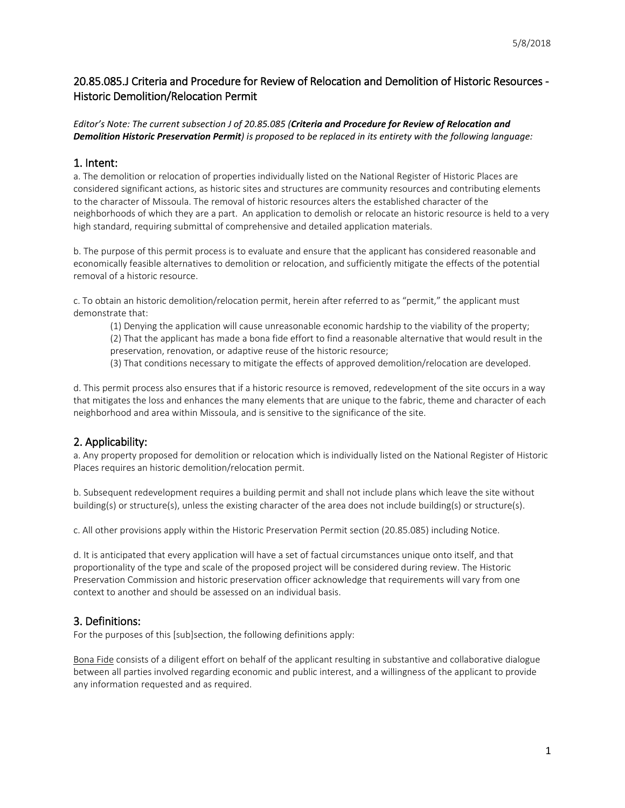# 20.85.085.J Criteria and Procedure for Review of Relocation and Demolition of Historic Resources - Historic Demolition/Relocation Permit

# *Editor's Note: The current subsection J of 20.85.085 (Criteria and Procedure for Review of Relocation and Demolition Historic Preservation Permit) is proposed to be replaced in its entirety with the following language:*

# 1. Intent:

a. The demolition or relocation of properties individually listed on the National Register of Historic Places are considered significant actions, as historic sites and structures are community resources and contributing elements to the character of Missoula. The removal of historic resources alters the established character of the neighborhoods of which they are a part. An application to demolish or relocate an historic resource is held to a very high standard, requiring submittal of comprehensive and detailed application materials.

b. The purpose of this permit process is to evaluate and ensure that the applicant has considered reasonable and economically feasible alternatives to demolition or relocation, and sufficiently mitigate the effects of the potential removal of a historic resource.

c. To obtain an historic demolition/relocation permit, herein after referred to as "permit," the applicant must demonstrate that:

(1) Denying the application will cause unreasonable economic hardship to the viability of the property; (2) That the applicant has made a bona fide effort to find a reasonable alternative that would result in the preservation, renovation, or adaptive reuse of the historic resource;

(3) That conditions necessary to mitigate the effects of approved demolition/relocation are developed.

d. This permit process also ensures that if a historic resource is removed, redevelopment of the site occurs in a way that mitigates the loss and enhances the many elements that are unique to the fabric, theme and character of each neighborhood and area within Missoula, and is sensitive to the significance of the site.

# 2. Applicability:

a. Any property proposed for demolition or relocation which is individually listed on the National Register of Historic Places requires an historic demolition/relocation permit.

b. Subsequent redevelopment requires a building permit and shall not include plans which leave the site without building(s) or structure(s), unless the existing character of the area does not include building(s) or structure(s).

c. All other provisions apply within the Historic Preservation Permit section (20.85.085) including Notice.

d. It is anticipated that every application will have a set of factual circumstances unique onto itself, and that proportionality of the type and scale of the proposed project will be considered during review. The Historic Preservation Commission and historic preservation officer acknowledge that requirements will vary from one context to another and should be assessed on an individual basis.

# 3. Definitions:

For the purposes of this [sub]section, the following definitions apply:

Bona Fide consists of a diligent effort on behalf of the applicant resulting in substantive and collaborative dialogue between all parties involved regarding economic and public interest, and a willingness of the applicant to provide any information requested and as required.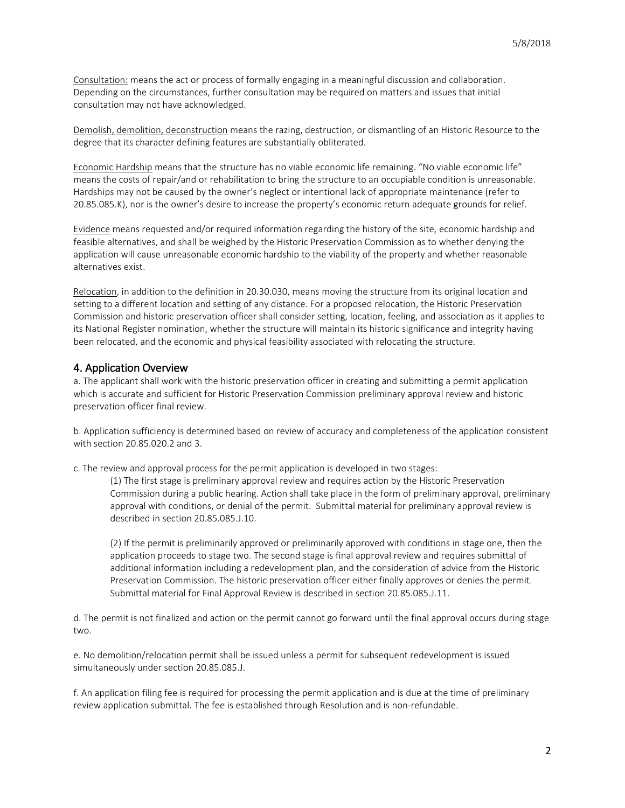Consultation: means the act or process of formally engaging in a meaningful discussion and collaboration. Depending on the circumstances, further consultation may be required on matters and issues that initial consultation may not have acknowledged.

Demolish, demolition, deconstruction means the razing, destruction, or dismantling of an Historic Resource to the degree that its character defining features are substantially obliterated.

Economic Hardship means that the structure has no viable economic life remaining. "No viable economic life" means the costs of repair/and or rehabilitation to bring the structure to an occupiable condition is unreasonable. Hardships may not be caused by the owner's neglect or intentional lack of appropriate maintenance (refer to 20.85.085.K), nor is the owner's desire to increase the property's economic return adequate grounds for relief.

Evidence means requested and/or required information regarding the history of the site, economic hardship and feasible alternatives, and shall be weighed by the Historic Preservation Commission as to whether denying the application will cause unreasonable economic hardship to the viability of the property and whether reasonable alternatives exist.

Relocation, in addition to the definition in 20.30.030, means moving the structure from its original location and setting to a different location and setting of any distance. For a proposed relocation, the Historic Preservation Commission and historic preservation officer shall consider setting, location, feeling, and association as it applies to its National Register nomination, whether the structure will maintain its historic significance and integrity having been relocated, and the economic and physical feasibility associated with relocating the structure.

# 4. Application Overview

a. The applicant shall work with the historic preservation officer in creating and submitting a permit application which is accurate and sufficient for Historic Preservation Commission preliminary approval review and historic preservation officer final review.

b. Application sufficiency is determined based on review of accuracy and completeness of the application consistent with section 20.85.020.2 and 3.

c. The review and approval process for the permit application is developed in two stages:

(1) The first stage is preliminary approval review and requires action by the Historic Preservation Commission during a public hearing. Action shall take place in the form of preliminary approval, preliminary approval with conditions, or denial of the permit. Submittal material for preliminary approval review is described in section 20.85.085.J.10.

(2) If the permit is preliminarily approved or preliminarily approved with conditions in stage one, then the application proceeds to stage two. The second stage is final approval review and requires submittal of additional information including a redevelopment plan, and the consideration of advice from the Historic Preservation Commission. The historic preservation officer either finally approves or denies the permit. Submittal material for Final Approval Review is described in section 20.85.085.J.11.

d. The permit is not finalized and action on the permit cannot go forward until the final approval occurs during stage two.

e. No demolition/relocation permit shall be issued unless a permit for subsequent redevelopment is issued simultaneously under section 20.85.085.J.

f. An application filing fee is required for processing the permit application and is due at the time of preliminary review application submittal. The fee is established through Resolution and is non-refundable.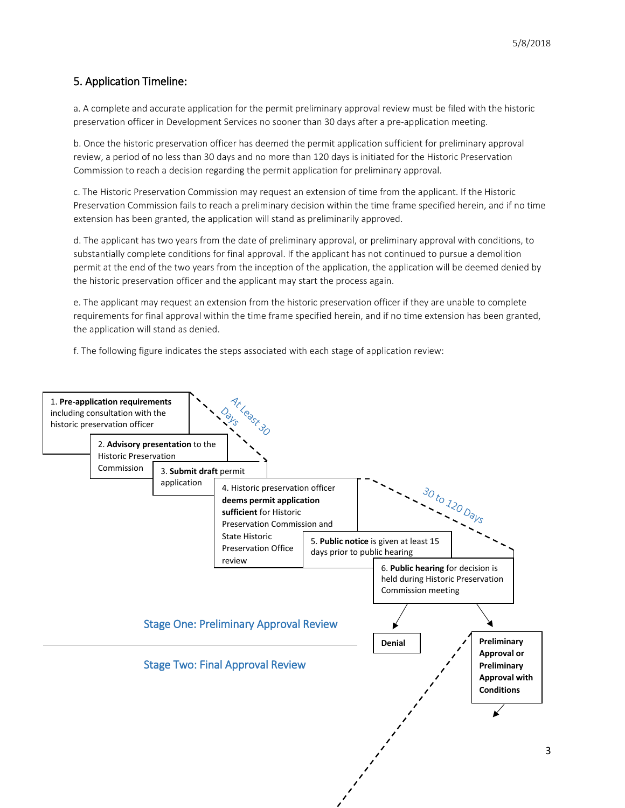# 5. Application Timeline:

a. A complete and accurate application for the permit preliminary approval review must be filed with the historic preservation officer in Development Services no sooner than 30 days after a pre-application meeting.

b. Once the historic preservation officer has deemed the permit application sufficient for preliminary approval review, a period of no less than 30 days and no more than 120 days is initiated for the Historic Preservation Commission to reach a decision regarding the permit application for preliminary approval.

c. The Historic Preservation Commission may request an extension of time from the applicant. If the Historic Preservation Commission fails to reach a preliminary decision within the time frame specified herein, and if no time extension has been granted, the application will stand as preliminarily approved.

d. The applicant has two years from the date of preliminary approval, or preliminary approval with conditions, to substantially complete conditions for final approval. If the applicant has not continued to pursue a demolition permit at the end of the two years from the inception of the application, the application will be deemed denied by the historic preservation officer and the applicant may start the process again.

e. The applicant may request an extension from the historic preservation officer if they are unable to complete requirements for final approval within the time frame specified herein, and if no time extension has been granted, the application will stand as denied.

f. The following figure indicates the steps associated with each stage of application review:

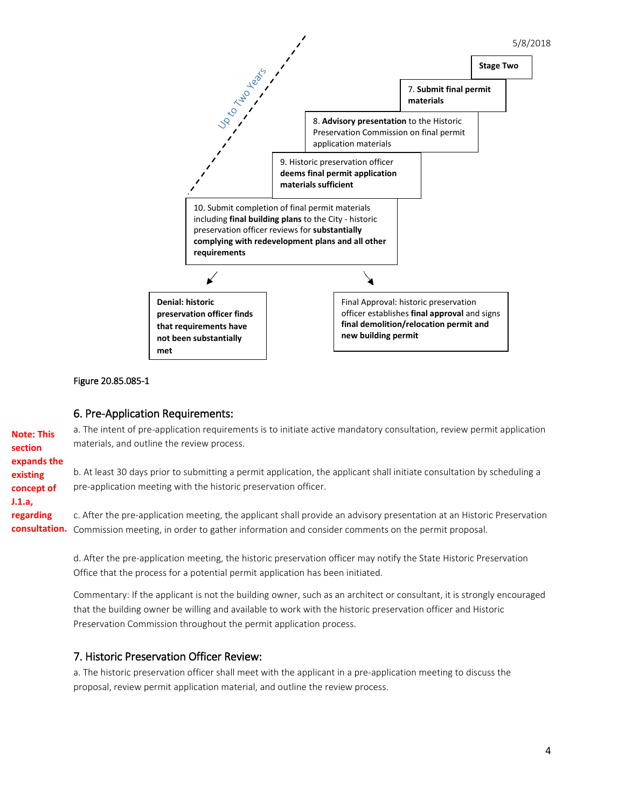

#### Figure 20.85.085-1

### 6. Pre-Application Requirements:

**Note: This section expands the existing concept of J.1.a, regarding consultation.**  Commission meeting, in order to gather information and consider comments on the permit proposal. a. The intent of pre-application requirements is to initiate active mandatory consultation, review permit application materials, and outline the review process. b. At least 30 days prior to submitting a permit application, the applicant shall initiate consultation by scheduling a pre-application meeting with the historic preservation officer. c. After the pre-application meeting, the applicant shall provide an advisory presentation at an Historic Preservation

> d. After the pre-application meeting, the historic preservation officer may notify the State Historic Preservation Office that the process for a potential permit application has been initiated.

Commentary: If the applicant is not the building owner, such as an architect or consultant, it is strongly encouraged that the building owner be willing and available to work with the historic preservation officer and Historic Preservation Commission throughout the permit application process.

# 7. Historic Preservation Officer Review:

a. The historic preservation officer shall meet with the applicant in a pre-application meeting to discuss the proposal, review permit application material, and outline the review process.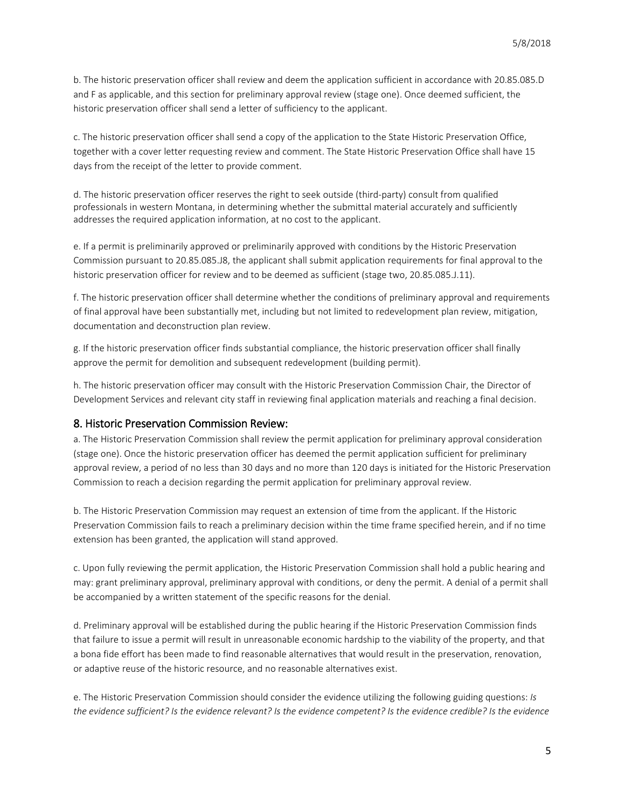b. The historic preservation officer shall review and deem the application sufficient in accordance with 20.85.085.D and F as applicable, and this section for preliminary approval review (stage one). Once deemed sufficient, the historic preservation officer shall send a letter of sufficiency to the applicant.

c. The historic preservation officer shall send a copy of the application to the State Historic Preservation Office, together with a cover letter requesting review and comment. The State Historic Preservation Office shall have 15 days from the receipt of the letter to provide comment.

d. The historic preservation officer reserves the right to seek outside (third-party) consult from qualified professionals in western Montana, in determining whether the submittal material accurately and sufficiently addresses the required application information, at no cost to the applicant.

e. If a permit is preliminarily approved or preliminarily approved with conditions by the Historic Preservation Commission pursuant to 20.85.085.J8, the applicant shall submit application requirements for final approval to the historic preservation officer for review and to be deemed as sufficient (stage two, 20.85.085.J.11).

f. The historic preservation officer shall determine whether the conditions of preliminary approval and requirements of final approval have been substantially met, including but not limited to redevelopment plan review, mitigation, documentation and deconstruction plan review.

g. If the historic preservation officer finds substantial compliance, the historic preservation officer shall finally approve the permit for demolition and subsequent redevelopment (building permit).

h. The historic preservation officer may consult with the Historic Preservation Commission Chair, the Director of Development Services and relevant city staff in reviewing final application materials and reaching a final decision.

### 8. Historic Preservation Commission Review:

a. The Historic Preservation Commission shall review the permit application for preliminary approval consideration (stage one). Once the historic preservation officer has deemed the permit application sufficient for preliminary approval review, a period of no less than 30 days and no more than 120 days is initiated for the Historic Preservation Commission to reach a decision regarding the permit application for preliminary approval review.

b. The Historic Preservation Commission may request an extension of time from the applicant. If the Historic Preservation Commission fails to reach a preliminary decision within the time frame specified herein, and if no time extension has been granted, the application will stand approved.

c. Upon fully reviewing the permit application, the Historic Preservation Commission shall hold a public hearing and may: grant preliminary approval, preliminary approval with conditions, or deny the permit. A denial of a permit shall be accompanied by a written statement of the specific reasons for the denial.

d. Preliminary approval will be established during the public hearing if the Historic Preservation Commission finds that failure to issue a permit will result in unreasonable economic hardship to the viability of the property, and that a bona fide effort has been made to find reasonable alternatives that would result in the preservation, renovation, or adaptive reuse of the historic resource, and no reasonable alternatives exist.

e. The Historic Preservation Commission should consider the evidence utilizing the following guiding questions: *Is the evidence sufficient? Is the evidence relevant? Is the evidence competent? Is the evidence credible? Is the evidence*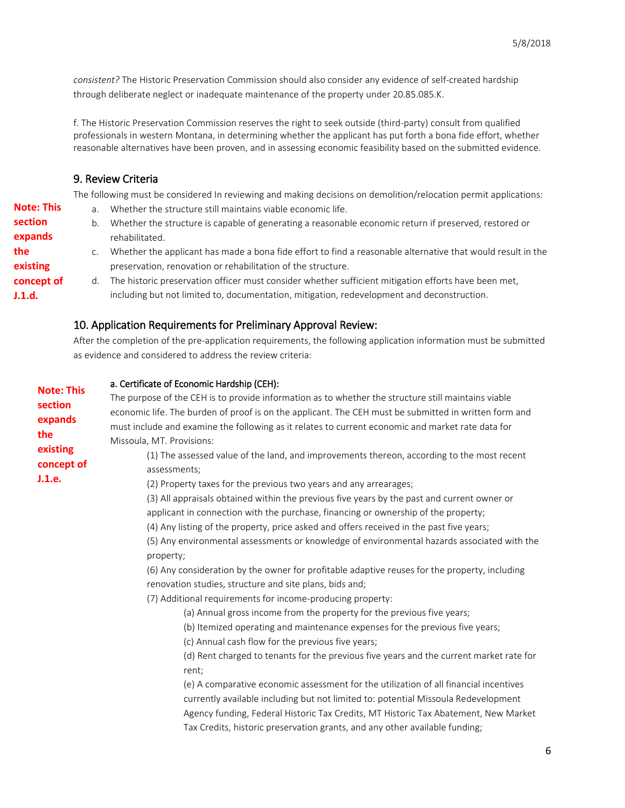*consistent?* The Historic Preservation Commission should also consider any evidence of self-created hardship through deliberate neglect or inadequate maintenance of the property under 20.85.085.K.

f. The Historic Preservation Commission reserves the right to seek outside (third-party) consult from qualified professionals in western Montana, in determining whether the applicant has put forth a bona fide effort, whether reasonable alternatives have been proven, and in assessing economic feasibility based on the submitted evidence.

# 9. Review Criteria

The following must be considered In reviewing and making decisions on demolition/relocation permit applications:

a. Whether the structure still maintains viable economic life. b. Whether the structure is capable of generating a reasonable economic return if preserved, restored or rehabilitated. c. Whether the applicant has made a bona fide effort to find a reasonable alternative that would result in the preservation, renovation or rehabilitation of the structure. d. The historic preservation officer must consider whether sufficient mitigation efforts have been met, including but not limited to, documentation, mitigation, redevelopment and deconstruction. **Note: This section expands the existing concept of J.1.d.** 

# 10. Application Requirements for Preliminary Approval Review:

After the completion of the pre-application requirements, the following application information must be submitted as evidence and considered to address the review criteria:

| <b>Note: This</b>                                  | a. Certificate of Economic Hardship (CEH):                                                                                                                                                                                                                                                                                                                                                                                                                                                     |
|----------------------------------------------------|------------------------------------------------------------------------------------------------------------------------------------------------------------------------------------------------------------------------------------------------------------------------------------------------------------------------------------------------------------------------------------------------------------------------------------------------------------------------------------------------|
|                                                    | The purpose of the CEH is to provide information as to whether the structure still maintains viable                                                                                                                                                                                                                                                                                                                                                                                            |
| section                                            | economic life. The burden of proof is on the applicant. The CEH must be submitted in written form and                                                                                                                                                                                                                                                                                                                                                                                          |
| expands<br>the<br>existing<br>concept of<br>J.1.e. | must include and examine the following as it relates to current economic and market rate data for<br>Missoula, MT. Provisions:<br>(1) The assessed value of the land, and improvements thereon, according to the most recent<br>assessments;<br>(2) Property taxes for the previous two years and any arrearages;<br>(3) All appraisals obtained within the previous five years by the past and current owner or                                                                               |
|                                                    | applicant in connection with the purchase, financing or ownership of the property;                                                                                                                                                                                                                                                                                                                                                                                                             |
|                                                    | (4) Any listing of the property, price asked and offers received in the past five years;                                                                                                                                                                                                                                                                                                                                                                                                       |
|                                                    | (5) Any environmental assessments or knowledge of environmental hazards associated with the<br>property;                                                                                                                                                                                                                                                                                                                                                                                       |
|                                                    | (6) Any consideration by the owner for profitable adaptive reuses for the property, including<br>renovation studies, structure and site plans, bids and;                                                                                                                                                                                                                                                                                                                                       |
|                                                    | (7) Additional requirements for income-producing property:                                                                                                                                                                                                                                                                                                                                                                                                                                     |
|                                                    | (a) Annual gross income from the property for the previous five years;<br>(b) Itemized operating and maintenance expenses for the previous five years;<br>(c) Annual cash flow for the previous five years;<br>(d) Rent charged to tenants for the previous five years and the current market rate for<br>rent;<br>(e) A comparative economic assessment for the utilization of all financial incentives<br>currently available including but not limited to: potential Missoula Redevelopment |
|                                                    | Agency funding, Federal Historic Tax Credits, MT Historic Tax Abatement, New Market<br>Tax Credits, historic preservation grants, and any other available funding;                                                                                                                                                                                                                                                                                                                             |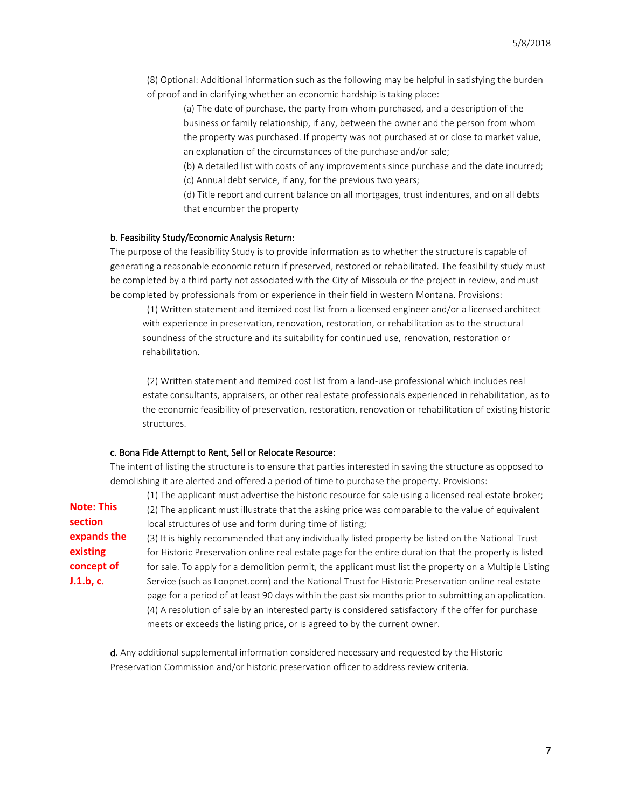(8) Optional: Additional information such as the following may be helpful in satisfying the burden of proof and in clarifying whether an economic hardship is taking place:

(a) The date of purchase, the party from whom purchased, and a description of the business or family relationship, if any, between the owner and the person from whom the property was purchased. If property was not purchased at or close to market value, an explanation of the circumstances of the purchase and/or sale;

(b) A detailed list with costs of any improvements since purchase and the date incurred; (c) Annual debt service, if any, for the previous two years;

(d) Title report and current balance on all mortgages, trust indentures, and on all debts that encumber the property

#### b. Feasibility Study/Economic Analysis Return:

The purpose of the feasibility Study is to provide information as to whether the structure is capable of generating a reasonable economic return if preserved, restored or rehabilitated. The feasibility study must be completed by a third party not associated with the City of Missoula or the project in review, and must be completed by professionals from or experience in their field in western Montana. Provisions:

(1) Written statement and itemized cost list from a licensed engineer and/or a licensed architect with experience in preservation, renovation, restoration, or rehabilitation as to the structural soundness of the structure and its suitability for continued use, renovation, restoration or rehabilitation.

(2) Written statement and itemized cost list from a land-use professional which includes real estate consultants, appraisers, or other real estate professionals experienced in rehabilitation, as to the economic feasibility of preservation, restoration, renovation or rehabilitation of existing historic structures.

#### c. Bona Fide Attempt to Rent, Sell or Relocate Resource:

The intent of listing the structure is to ensure that parties interested in saving the structure as opposed to demolishing it are alerted and offered a period of time to purchase the property. Provisions:

(1) The applicant must advertise the historic resource for sale using a licensed real estate broker; (2) The applicant must illustrate that the asking price was comparable to the value of equivalent local structures of use and form during time of listing; **Note: This section** 

(3) It is highly recommended that any individually listed property be listed on the National Trust for Historic Preservation online real estate page for the entire duration that the property is listed for sale. To apply for a demolition permit, the applicant must list the property on a Multiple Listing Service (such as Loopnet.com) and the National Trust for Historic Preservation online real estate page for a period of at least 90 days within the past six months prior to submitting an application. (4) A resolution of sale by an interested party is considered satisfactory if the offer for purchase meets or exceeds the listing price, or is agreed to by the current owner. **expands the existing concept of J.1.b, c.** 

d. Any additional supplemental information considered necessary and requested by the Historic Preservation Commission and/or historic preservation officer to address review criteria.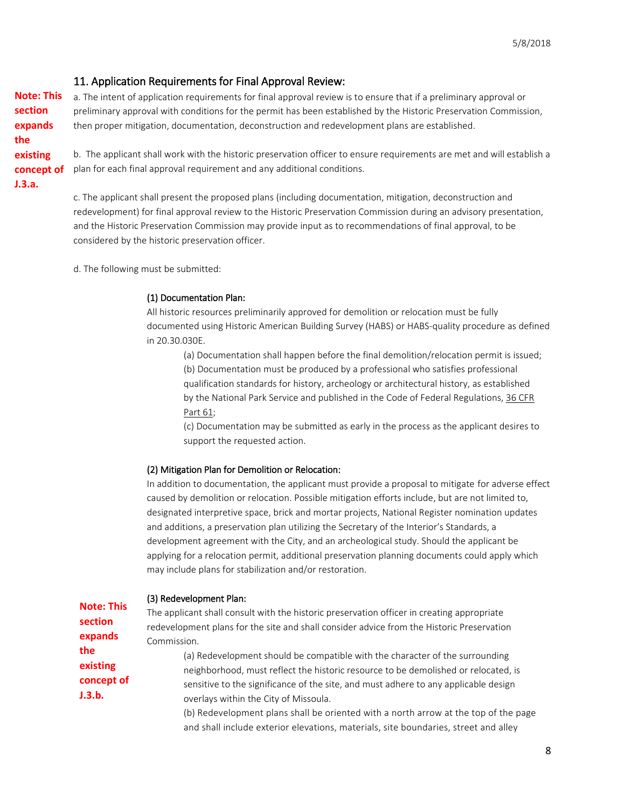# 11. Application Requirements for Final Approval Review:

**Note: This section expands the existing concept of J.3.a.** 

a. The intent of application requirements for final approval review is to ensure that if a preliminary approval or preliminary approval with conditions for the permit has been established by the Historic Preservation Commission, then proper mitigation, documentation, deconstruction and redevelopment plans are established.

b. The applicant shall work with the historic preservation officer to ensure requirements are met and will establish a plan for each final approval requirement and any additional conditions.

c. The applicant shall present the proposed plans (including documentation, mitigation, deconstruction and redevelopment) for final approval review to the Historic Preservation Commission during an advisory presentation, and the Historic Preservation Commission may provide input as to recommendations of final approval, to be considered by the historic preservation officer.

d. The following must be submitted:

### (1) Documentation Plan:

All historic resources preliminarily approved for demolition or relocation must be fully documented using Historic American Building Survey (HABS) or HABS-quality procedure as defined in 20.30.030E.

(a) Documentation shall happen before the final demolition/relocation permit is issued;

(b) Documentation must be produced by a professional who satisfies professional qualification standards for history, archeology or architectural history, as established by the National Park Service and published in the Code of Federal Regulations, [36 CFR](https://www.nps.gov/history/local-law/arch_stnds_9.htm)  [Part 61;](https://www.nps.gov/history/local-law/arch_stnds_9.htm)

(c) Documentation may be submitted as early in the process as the applicant desires to support the requested action.

### (2) Mitigation Plan for Demolition or Relocation:

In addition to documentation, the applicant must provide a proposal to mitigate for adverse effect caused by demolition or relocation. Possible mitigation efforts include, but are not limited to, designated interpretive space, brick and mortar projects, National Register nomination updates and additions, a preservation plan utilizing the Secretary of the Interior's Standards, a development agreement with the City, and an archeological study. Should the applicant be applying for a relocation permit, additional preservation planning documents could apply which may include plans for stabilization and/or restoration.

|                   | (3) Redevelopment Plan:                                                                    |
|-------------------|--------------------------------------------------------------------------------------------|
| <b>Note: This</b> | The applicant shall consult with the historic preservation officer in creating appropriate |
| section           | redevelopment plans for the site and shall consider advice from the Historic Preservation  |
| expands           | Commission.                                                                                |
| the               | (a) Redevelopment should be compatible with the character of the surrounding               |
| existing          | neighborhood, must reflect the historic resource to be demolished or relocated, is         |
| concept of        | sensitive to the significance of the site, and must adhere to any applicable design        |
| J.3.b.            | overlays within the City of Missoula.                                                      |
|                   | (b) Redevelopment plans shall be oriented with a north arrow at the top of the page        |
|                   | and shall include exterior elevations, materials, site boundaries, street and alley        |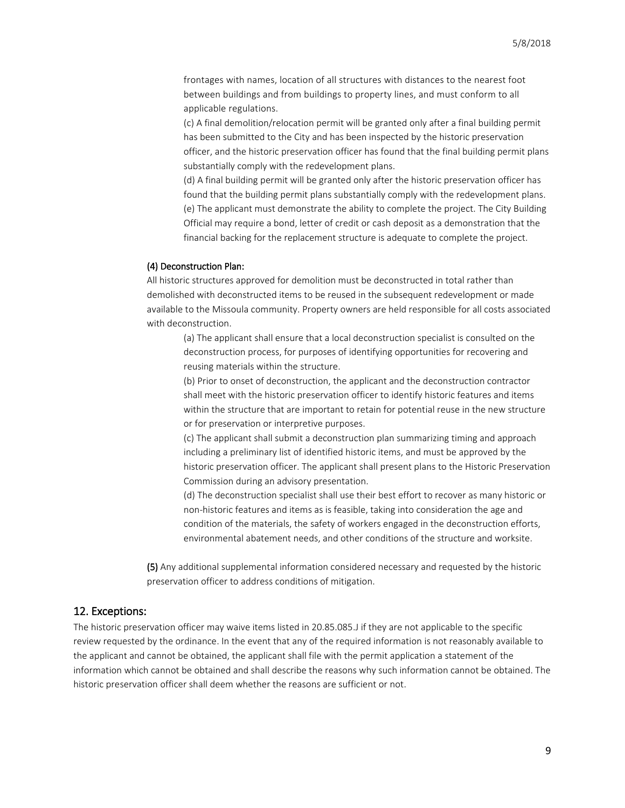frontages with names, location of all structures with distances to the nearest foot between buildings and from buildings to property lines, and must conform to all applicable regulations.

(c) A final demolition/relocation permit will be granted only after a final building permit has been submitted to the City and has been inspected by the historic preservation officer, and the historic preservation officer has found that the final building permit plans substantially comply with the redevelopment plans.

(d) A final building permit will be granted only after the historic preservation officer has found that the building permit plans substantially comply with the redevelopment plans. (e) The applicant must demonstrate the ability to complete the project. The City Building Official may require a bond, letter of credit or cash deposit as a demonstration that the financial backing for the replacement structure is adequate to complete the project.

#### (4) Deconstruction Plan:

All historic structures approved for demolition must be deconstructed in total rather than demolished with deconstructed items to be reused in the subsequent redevelopment or made available to the Missoula community. Property owners are held responsible for all costs associated with deconstruction.

(a) The applicant shall ensure that a local deconstruction specialist is consulted on the deconstruction process, for purposes of identifying opportunities for recovering and reusing materials within the structure.

(b) Prior to onset of deconstruction, the applicant and the deconstruction contractor shall meet with the historic preservation officer to identify historic features and items within the structure that are important to retain for potential reuse in the new structure or for preservation or interpretive purposes.

(c) The applicant shall submit a deconstruction plan summarizing timing and approach including a preliminary list of identified historic items, and must be approved by the historic preservation officer. The applicant shall present plans to the Historic Preservation Commission during an advisory presentation.

(d) The deconstruction specialist shall use their best effort to recover as many historic or non-historic features and items as is feasible, taking into consideration the age and condition of the materials, the safety of workers engaged in the deconstruction efforts, environmental abatement needs, and other conditions of the structure and worksite.

(5) Any additional supplemental information considered necessary and requested by the historic preservation officer to address conditions of mitigation.

### 12. Exceptions:

The historic preservation officer may waive items listed in 20.85.085.J if they are not applicable to the specific review requested by the ordinance. In the event that any of the required information is not reasonably available to the applicant and cannot be obtained, the applicant shall file with the permit application a statement of the information which cannot be obtained and shall describe the reasons why such information cannot be obtained. The historic preservation officer shall deem whether the reasons are sufficient or not.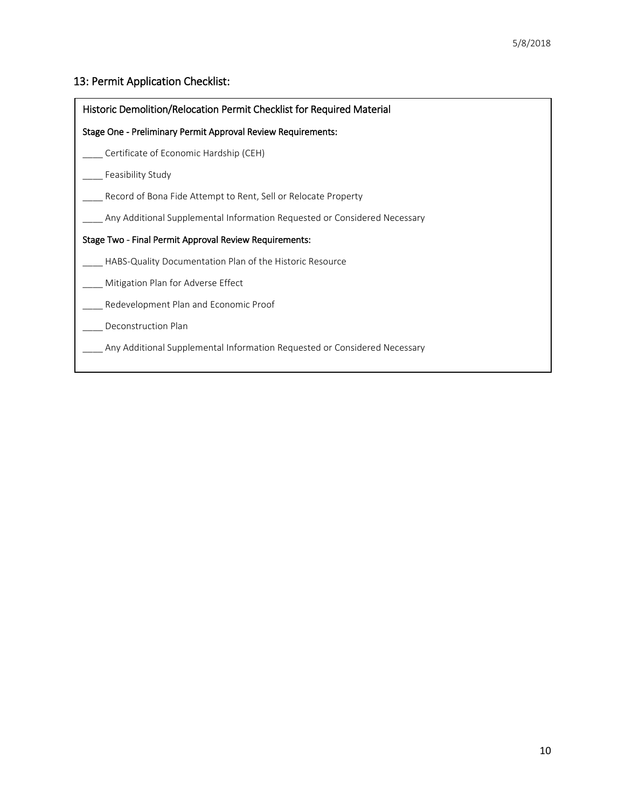# 13: Permit Application Checklist:

Ī

| Historic Demolition/Relocation Permit Checklist for Required Material     |  |  |
|---------------------------------------------------------------------------|--|--|
| Stage One - Preliminary Permit Approval Review Requirements:              |  |  |
| Certificate of Economic Hardship (CEH)                                    |  |  |
| Feasibility Study                                                         |  |  |
| Record of Bona Fide Attempt to Rent, Sell or Relocate Property            |  |  |
| Any Additional Supplemental Information Requested or Considered Necessary |  |  |
| Stage Two - Final Permit Approval Review Requirements:                    |  |  |
| HABS-Quality Documentation Plan of the Historic Resource                  |  |  |
| Mitigation Plan for Adverse Effect                                        |  |  |
| Redevelopment Plan and Economic Proof                                     |  |  |
| Deconstruction Plan                                                       |  |  |
| Any Additional Supplemental Information Requested or Considered Necessary |  |  |
|                                                                           |  |  |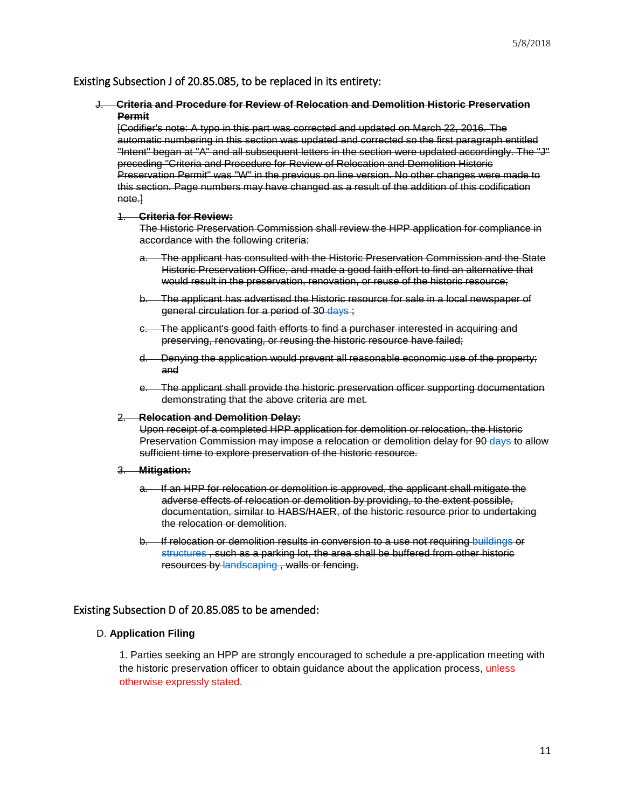# Existing Subsection J of 20.85.085, to be replaced in its entirety:

### J. **Criteria and Procedure for Review of Relocation and Demolition Historic Preservation Permit**

[Codifier's note: A typo in this part was corrected and updated on March 22, 2016. The automatic numbering in this section was updated and corrected so the first paragraph entitled "Intent" began at "A" and all subsequent letters in the section were updated accordingly. The "J" preceding "Criteria and Procedure for Review of Relocation and Demolition Historic Preservation Permit" was "W" in the previous on line version. No other changes were made to this section. Page numbers may have changed as a result of the addition of this codification note.]

#### 1. **Criteria for Review:**

The Historic Preservation Commission shall review the HPP application for compliance in accordance with the following criteria:

- The applicant has consulted with the Historic Preservation Commission and the State Historic Preservation Office, and made a good faith effort to find an alternative that would result in the preservation, renovation, or reuse of the historic resource;
- b. The applicant has advertised the Historic resource for sale in a local newspaper of general circulation for a period of 30 [days ;](https://www.municode.com/)
- c. The applicant's good faith efforts to find a purchaser interested in acquiring and preserving, renovating, or reusing the historic resource have failed;
- d. Denying the application would prevent all reasonable economic use of the property; and
- e. The applicant shall provide the historic preservation officer supporting documentation demonstrating that the above criteria are met.

#### 2. **Relocation and Demolition Delay:**

Upon receipt of a completed HPP application for demolition or relocation, the Historic Preservation Commission may impose a relocation or demolition delay for 90 [days t](https://www.municode.com/)o allow sufficient time to explore preservation of the historic resource.

#### 3. **Mitigation:**

- a. If an HPP for relocation or demolition is approved, the applicant shall mitigate the adverse effects of relocation or demolition by providing, to the extent possible, documentation, similar to HABS/HAER, of the historic resource prior to undertaking the relocation or demolition.
- b. If relocation or demolition results in conversion to a use not requiring [buildings o](https://www.municode.com/)r [structures ,](https://www.municode.com/) such as a parking lot, the area shall be buffered from other historic resources by [landscaping ,](https://www.municode.com/) walls or fencing.

#### Existing Subsection D of 20.85.085 to be amended:

### D. **Application Filing**

1. Parties seeking an HPP are strongly encouraged to schedule a pre-application meeting with the historic preservation officer to obtain guidance about the application process, unless otherwise expressly stated.